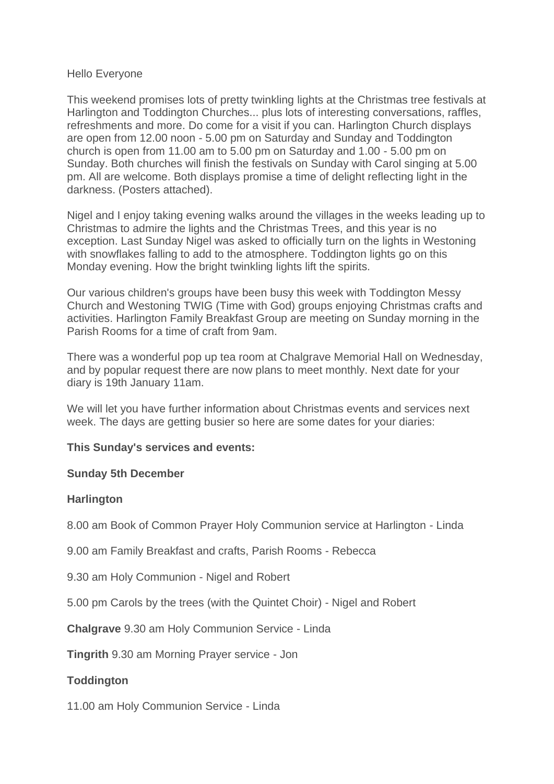#### Hello Everyone

This weekend promises lots of pretty twinkling lights at the Christmas tree festivals at Harlington and Toddington Churches... plus lots of interesting conversations, raffles, refreshments and more. Do come for a visit if you can. Harlington Church displays are open from 12.00 noon - 5.00 pm on Saturday and Sunday and Toddington church is open from 11.00 am to 5.00 pm on Saturday and 1.00 - 5.00 pm on Sunday. Both churches will finish the festivals on Sunday with Carol singing at 5.00 pm. All are welcome. Both displays promise a time of delight reflecting light in the darkness. (Posters attached).

Nigel and I enjoy taking evening walks around the villages in the weeks leading up to Christmas to admire the lights and the Christmas Trees, and this year is no exception. Last Sunday Nigel was asked to officially turn on the lights in Westoning with snowflakes falling to add to the atmosphere. Toddington lights go on this Monday evening. How the bright twinkling lights lift the spirits.

Our various children's groups have been busy this week with Toddington Messy Church and Westoning TWIG (Time with God) groups enjoying Christmas crafts and activities. Harlington Family Breakfast Group are meeting on Sunday morning in the Parish Rooms for a time of craft from 9am.

There was a wonderful pop up tea room at Chalgrave Memorial Hall on Wednesday, and by popular request there are now plans to meet monthly. Next date for your diary is 19th January 11am.

We will let you have further information about Christmas events and services next week. The days are getting busier so here are some dates for your diaries:

### **This Sunday's services and events:**

### **Sunday 5th December**

### **Harlington**

8.00 am Book of Common Prayer Holy Communion service at Harlington - Linda

9.00 am Family Breakfast and crafts, Parish Rooms - Rebecca

9.30 am Holy Communion - Nigel and Robert

5.00 pm Carols by the trees (with the Quintet Choir) - Nigel and Robert

**Chalgrave** 9.30 am Holy Communion Service - Linda

**Tingrith** 9.30 am Morning Prayer service - Jon

# **Toddington**

11.00 am Holy Communion Service - Linda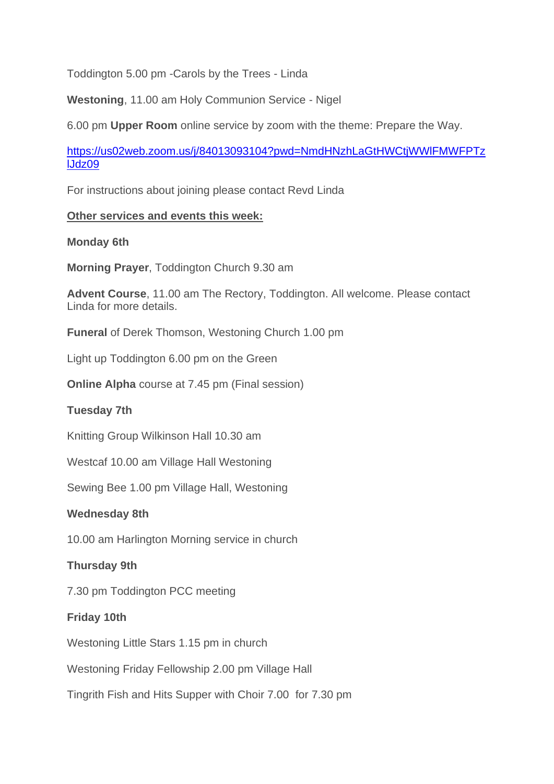Toddington 5.00 pm -Carols by the Trees - Linda

**Westoning**, 11.00 am Holy Communion Service - Nigel

6.00 pm **Upper Room** online service by zoom with the theme: Prepare the Way.

[https://us02web.zoom.us/j/84013093104?pwd=NmdHNzhLaGtHWCtjWWlFMWFPTz](https://emea01.safelinks.protection.outlook.com/?url=https%3A%2F%2Fus02web.zoom.us%2Fj%2F84013093104%3Fpwd%3DNmdHNzhLaGtHWCtjWWlFMWFPTzlJdz09&data=04%7C01%7C%7C0f493cc09e6e4d7c484108d9b6900873%7C84df9e7fe9f640afb435aaaaaaaaaaaa%7C1%7C0%7C637741551996017882%7CUnknown%7CTWFpbGZsb3d8eyJWIjoiMC4wLjAwMDAiLCJQIjoiV2luMzIiLCJBTiI6Ik1haWwiLCJXVCI6Mn0%3D%7C3000&sdata=XDYyB1FQLK13odalhbXagMv9dmjJw72cHxouAVNgQ9s%3D&reserved=0) [lJdz09](https://emea01.safelinks.protection.outlook.com/?url=https%3A%2F%2Fus02web.zoom.us%2Fj%2F84013093104%3Fpwd%3DNmdHNzhLaGtHWCtjWWlFMWFPTzlJdz09&data=04%7C01%7C%7C0f493cc09e6e4d7c484108d9b6900873%7C84df9e7fe9f640afb435aaaaaaaaaaaa%7C1%7C0%7C637741551996017882%7CUnknown%7CTWFpbGZsb3d8eyJWIjoiMC4wLjAwMDAiLCJQIjoiV2luMzIiLCJBTiI6Ik1haWwiLCJXVCI6Mn0%3D%7C3000&sdata=XDYyB1FQLK13odalhbXagMv9dmjJw72cHxouAVNgQ9s%3D&reserved=0)

For instructions about joining please contact Revd Linda

### **Other services and events this week:**

### **Monday 6th**

**Morning Prayer**, Toddington Church 9.30 am

**Advent Course**, 11.00 am The Rectory, Toddington. All welcome. Please contact Linda for more details.

**Funeral** of Derek Thomson, Westoning Church 1.00 pm

Light up Toddington 6.00 pm on the Green

**Online Alpha** course at 7.45 pm (Final session)

# **Tuesday 7th**

Knitting Group Wilkinson Hall 10.30 am

Westcaf 10.00 am Village Hall Westoning

Sewing Bee 1.00 pm Village Hall, Westoning

### **Wednesday 8th**

10.00 am Harlington Morning service in church

# **Thursday 9th**

7.30 pm Toddington PCC meeting

### **Friday 10th**

Westoning Little Stars 1.15 pm in church

Westoning Friday Fellowship 2.00 pm Village Hall

Tingrith Fish and Hits Supper with Choir 7.00 for 7.30 pm